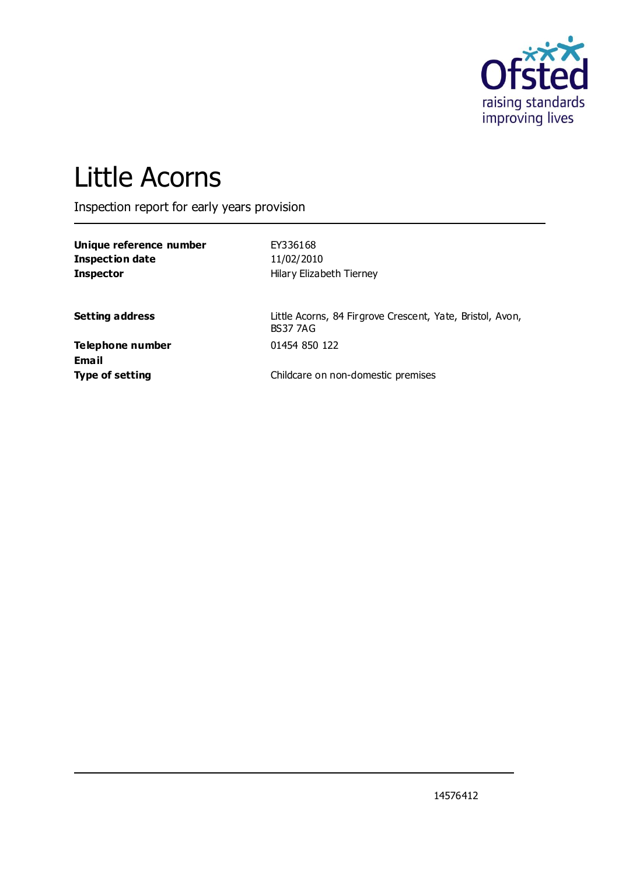

# Little Acorns

Inspection report for early years provision

**Unique reference number** EY336168 **Inspection date** 11/02/2010

**Inspector Hilary Elizabeth Tierney** 

Setting address **Setting address** Little Acorns, 84 Firgrove Crescent, Yate, Bristol, Avon, BS37 7AG

**Telephone number** 01454 850 122 **Email**

**Type of setting** Type of setting **Childcare on non-domestic premises**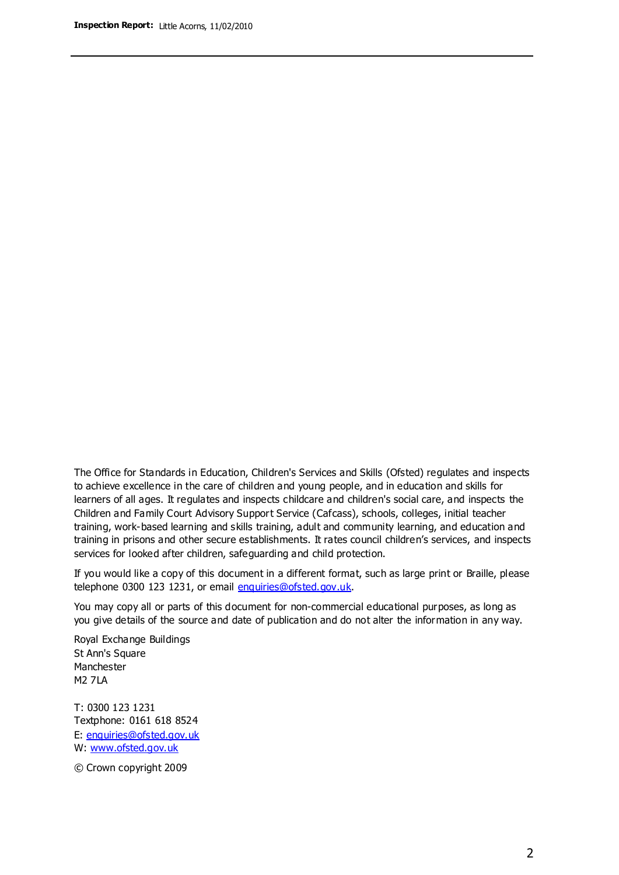The Office for Standards in Education, Children's Services and Skills (Ofsted) regulates and inspects to achieve excellence in the care of children and young people, and in education and skills for learners of all ages. It regulates and inspects childcare and children's social care, and inspects the Children and Family Court Advisory Support Service (Cafcass), schools, colleges, initial teacher training, work-based learning and skills training, adult and community learning, and education and training in prisons and other secure establishments. It rates council children's services, and inspects services for looked after children, safeguarding and child protection.

If you would like a copy of this document in a different format, such as large print or Braille, please telephone 0300 123 1231, or email enquiries@ofsted.gov.uk.

You may copy all or parts of this document for non-commercial educational purposes, as long as you give details of the source and date of publication and do not alter the information in any way.

Royal Exchange Buildings St Ann's Square Manchester M2 7LA

T: 0300 123 1231 Textphone: 0161 618 8524 E: enquiries@ofsted.gov.uk W: [www.ofsted.gov.uk](http://www.ofsted.gov.uk/)

© Crown copyright 2009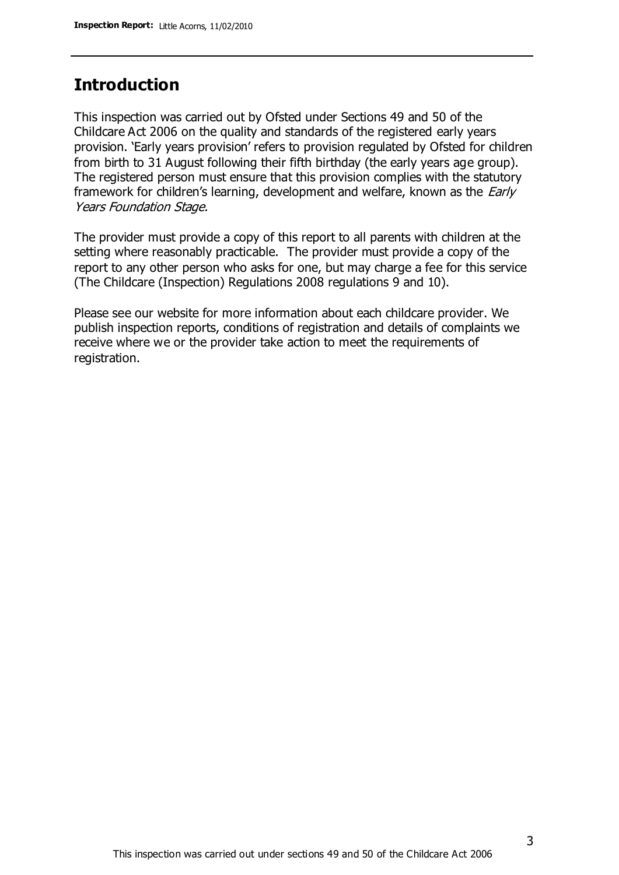## **Introduction**

This inspection was carried out by Ofsted under Sections 49 and 50 of the Childcare Act 2006 on the quality and standards of the registered early years provision. 'Early years provision' refers to provision regulated by Ofsted for children from birth to 31 August following their fifth birthday (the early years age group). The registered person must ensure that this provision complies with the statutory framework for children's learning, development and welfare, known as the *Early* Years Foundation Stage.

The provider must provide a copy of this report to all parents with children at the setting where reasonably practicable. The provider must provide a copy of the report to any other person who asks for one, but may charge a fee for this service (The Childcare (Inspection) Regulations 2008 regulations 9 and 10).

Please see our website for more information about each childcare provider. We publish inspection reports, conditions of registration and details of complaints we receive where we or the provider take action to meet the requirements of registration.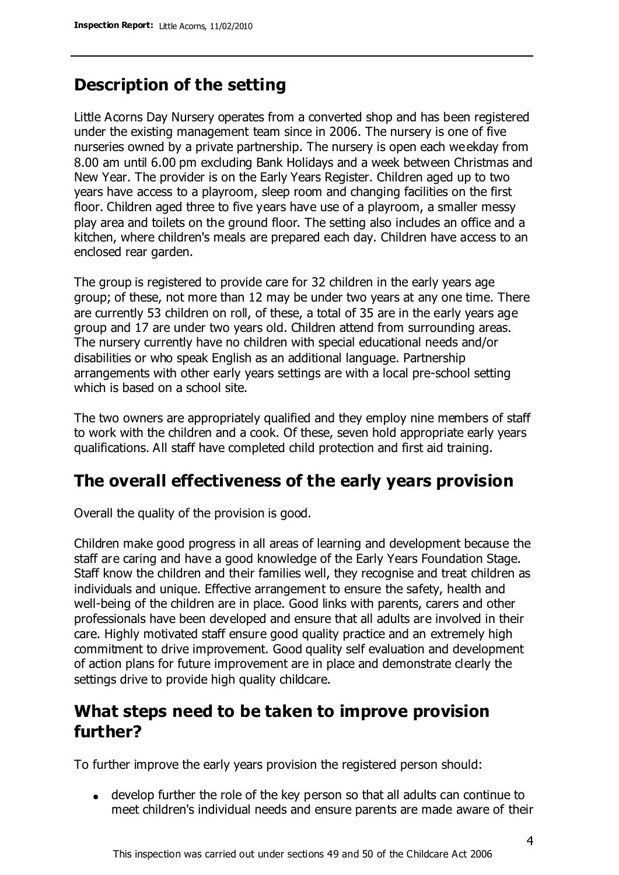# **Description of the setting**

Little Acorns Day Nursery operates from a converted shop and has been registered under the existing management team since in 2006. The nursery is one of five nurseries owned by a private partnership. The nursery is open each weekday from 8.00 am until 6.00 pm excluding Bank Holidays and a week between Christmas and New Year. The provider is on the Early Years Register. Children aged up to two years have access to a playroom, sleep room and changing facilities on the first floor. Children aged three to five years have use of a playroom, a smaller messy play area and toilets on the ground floor. The setting also includes an office and a kitchen, where children's meals are prepared each day. Children have access to an enclosed rear garden.

The group is registered to provide care for 32 children in the early years age group; of these, not more than 12 may be under two years at any one time. There are currently 53 children on roll, of these, a total of 35 are in the early years age group and 17 are under two years old. Children attend from surrounding areas. The nursery currently have no children with special educational needs and/or disabilities or who speak English as an additional language. Partnership arrangements with other early years settings are with a local pre-school setting which is based on a school site.

The two owners are appropriately qualified and they employ nine members of staff to work with the children and a cook. Of these, seven hold appropriate early years qualifications. All staff have completed child protection and first aid training.

## **The overall effectiveness of the early years provision**

Overall the quality of the provision is good.

Children make good progress in all areas of learning and development because the staff are caring and have a good knowledge of the Early Years Foundation Stage. Staff know the children and their families well, they recognise and treat children as individuals and unique. Effective arrangement to ensure the safety, health and well-being of the children are in place. Good links with parents, carers and other professionals have been developed and ensure that all adults are involved in their care. Highly motivated staff ensure good quality practice and an extremely high commitment to drive improvement. Good quality self evaluation and development of action plans for future improvement are in place and demonstrate clearly the settings drive to provide high quality childcare.

## **What steps need to be taken to improve provision further?**

To further improve the early years provision the registered person should:

develop further the role of the key person so that all adults can continue to meet children's individual needs and ensure parents are made aware of their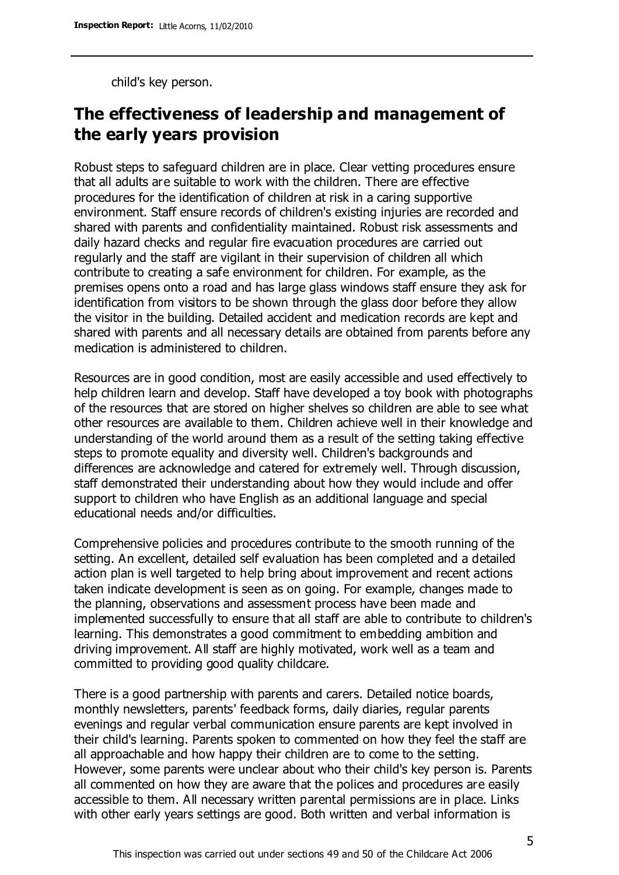child's key person.

# **The effectiveness of leadership and management of the early years provision**

Robust steps to safeguard children are in place. Clear vetting procedures ensure that all adults are suitable to work with the children. There are effective procedures for the identification of children at risk in a caring supportive environment. Staff ensure records of children's existing injuries are recorded and shared with parents and confidentiality maintained. Robust risk assessments and daily hazard checks and regular fire evacuation procedures are carried out regularly and the staff are vigilant in their supervision of children all which contribute to creating a safe environment for children. For example, as the premises opens onto a road and has large glass windows staff ensure they ask for identification from visitors to be shown through the glass door before they allow the visitor in the building. Detailed accident and medication records are kept and shared with parents and all necessary details are obtained from parents before any medication is administered to children.

Resources are in good condition, most are easily accessible and used effectively to help children learn and develop. Staff have developed a toy book with photographs of the resources that are stored on higher shelves so children are able to see what other resources are available to them. Children achieve well in their knowledge and understanding of the world around them as a result of the setting taking effective steps to promote equality and diversity well. Children's backgrounds and differences are acknowledge and catered for extremely well. Through discussion, staff demonstrated their understanding about how they would include and offer support to children who have English as an additional language and special educational needs and/or difficulties.

Comprehensive policies and procedures contribute to the smooth running of the setting. An excellent, detailed self evaluation has been completed and a detailed action plan is well targeted to help bring about improvement and recent actions taken indicate development is seen as on going. For example, changes made to the planning, observations and assessment process have been made and implemented successfully to ensure that all staff are able to contribute to children's learning. This demonstrates a good commitment to embedding ambition and driving improvement. All staff are highly motivated, work well as a team and committed to providing good quality childcare.

There is a good partnership with parents and carers. Detailed notice boards, monthly newsletters, parents' feedback forms, daily diaries, regular parents evenings and regular verbal communication ensure parents are kept involved in their child's learning. Parents spoken to commented on how they feel the staff are all approachable and how happy their children are to come to the setting. However, some parents were unclear about who their child's key person is. Parents all commented on how they are aware that the polices and procedures are easily accessible to them. All necessary written parental permissions are in place. Links with other early years settings are good. Both written and verbal information is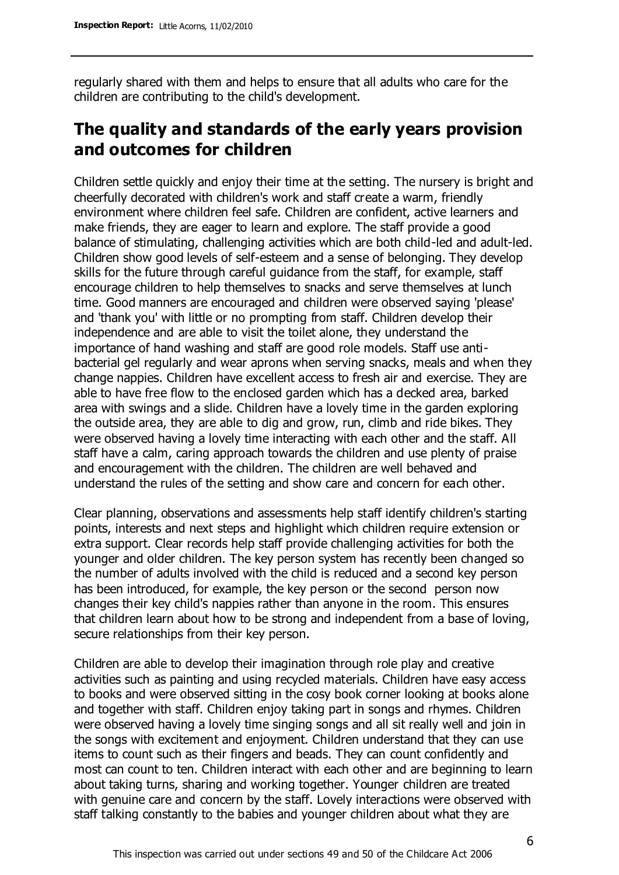regularly shared with them and helps to ensure that all adults who care for the children are contributing to the child's development.

# **The quality and standards of the early years provision and outcomes for children**

Children settle quickly and enjoy their time at the setting. The nursery is bright and cheerfully decorated with children's work and staff create a warm, friendly environment where children feel safe. Children are confident, active learners and make friends, they are eager to learn and explore. The staff provide a good balance of stimulating, challenging activities which are both child-led and adult-led. Children show good levels of self-esteem and a sense of belonging. They develop skills for the future through careful guidance from the staff, for example, staff encourage children to help themselves to snacks and serve themselves at lunch time. Good manners are encouraged and children were observed saying 'please' and 'thank you' with little or no prompting from staff. Children develop their independence and are able to visit the toilet alone, they understand the importance of hand washing and staff are good role models. Staff use antibacterial gel regularly and wear aprons when serving snacks, meals and when they change nappies. Children have excellent access to fresh air and exercise. They are able to have free flow to the enclosed garden which has a decked area, barked area with swings and a slide. Children have a lovely time in the garden exploring the outside area, they are able to dig and grow, run, climb and ride bikes. They were observed having a lovely time interacting with each other and the staff. All staff have a calm, caring approach towards the children and use plenty of praise and encouragement with the children. The children are well behaved and understand the rules of the setting and show care and concern for each other.

Clear planning, observations and assessments help staff identify children's starting points, interests and next steps and highlight which children require extension or extra support. Clear records help staff provide challenging activities for both the younger and older children. The key person system has recently been changed so the number of adults involved with the child is reduced and a second key person has been introduced, for example, the key person or the second person now changes their key child's nappies rather than anyone in the room. This ensures that children learn about how to be strong and independent from a base of loving, secure relationships from their key person.

Children are able to develop their imagination through role play and creative activities such as painting and using recycled materials. Children have easy access to books and were observed sitting in the cosy book corner looking at books alone and together with staff. Children enjoy taking part in songs and rhymes. Children were observed having a lovely time singing songs and all sit really well and join in the songs with excitement and enjoyment. Children understand that they can use items to count such as their fingers and beads. They can count confidently and most can count to ten. Children interact with each other and are beginning to learn about taking turns, sharing and working together. Younger children are treated with genuine care and concern by the staff. Lovely interactions were observed with staff talking constantly to the babies and younger children about what they are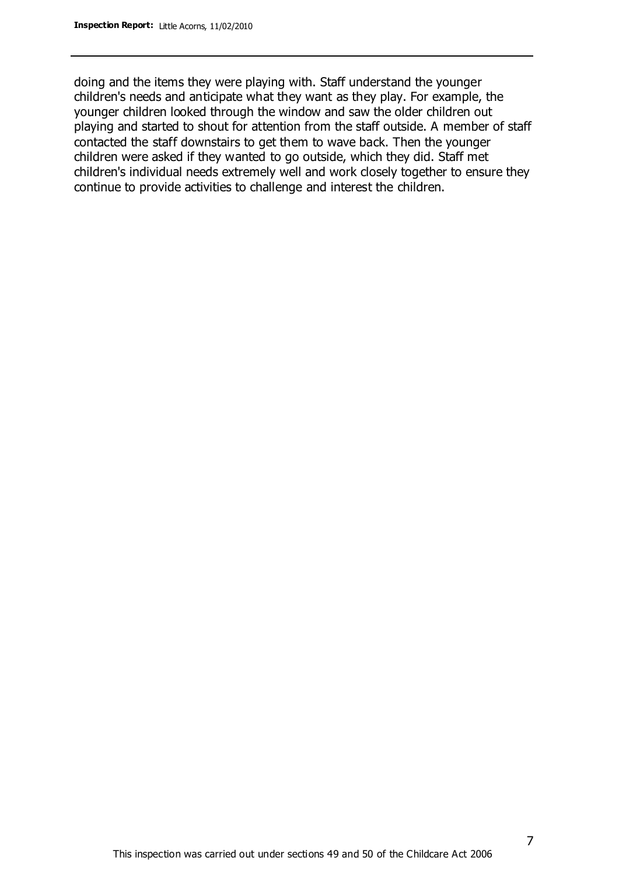doing and the items they were playing with. Staff understand the younger children's needs and anticipate what they want as they play. For example, the younger children looked through the window and saw the older children out playing and started to shout for attention from the staff outside. A member of staff contacted the staff downstairs to get them to wave back. Then the younger children were asked if they wanted to go outside, which they did. Staff met children's individual needs extremely well and work closely together to ensure they continue to provide activities to challenge and interest the children.